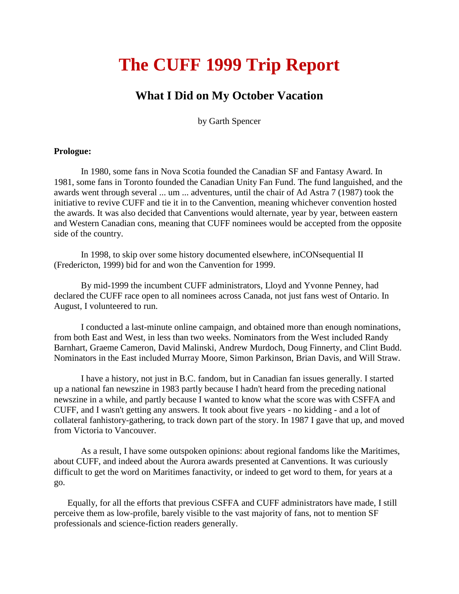# **The CUFF 1999 Trip Report**

# **What I Did on My October Vacation**

by Garth Spencer

### **Prologue:**

In 1980, some fans in Nova Scotia founded the Canadian SF and Fantasy Award. In 1981, some fans in Toronto founded the Canadian Unity Fan Fund. The fund languished, and the awards went through several ... um ... adventures, until the chair of Ad Astra 7 (1987) took the initiative to revive CUFF and tie it in to the Canvention, meaning whichever convention hosted the awards. It was also decided that Canventions would alternate, year by year, between eastern and Western Canadian cons, meaning that CUFF nominees would be accepted from the opposite side of the country.

In 1998, to skip over some history documented elsewhere, inCONsequential II (Fredericton, 1999) bid for and won the Canvention for 1999.

By mid-1999 the incumbent CUFF administrators, Lloyd and Yvonne Penney, had declared the CUFF race open to all nominees across Canada, not just fans west of Ontario. In August, I volunteered to run.

I conducted a last-minute online campaign, and obtained more than enough nominations, from both East and West, in less than two weeks. Nominators from the West included Randy Barnhart, Graeme Cameron, David Malinski, Andrew Murdoch, Doug Finnerty, and Clint Budd. Nominators in the East included Murray Moore, Simon Parkinson, Brian Davis, and Will Straw.

I have a history, not just in B.C. fandom, but in Canadian fan issues generally. I started up a national fan newszine in 1983 partly because I hadn't heard from the preceding national newszine in a while, and partly because I wanted to know what the score was with CSFFA and CUFF, and I wasn't getting any answers. It took about five years - no kidding - and a lot of collateral fanhistory-gathering, to track down part of the story. In 1987 I gave that up, and moved from Victoria to Vancouver.

As a result, I have some outspoken opinions: about regional fandoms like the Maritimes, about CUFF, and indeed about the Aurora awards presented at Canventions. It was curiously difficult to get the word on Maritimes fanactivity, or indeed to get word to them, for years at a go.

 Equally, for all the efforts that previous CSFFA and CUFF administrators have made, I still perceive them as low-profile, barely visible to the vast majority of fans, not to mention SF professionals and science-fiction readers generally.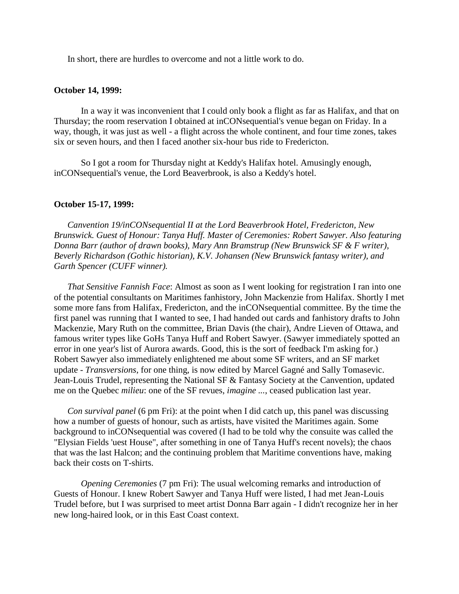In short, there are hurdles to overcome and not a little work to do.

#### **October 14, 1999:**

In a way it was inconvenient that I could only book a flight as far as Halifax, and that on Thursday; the room reservation I obtained at inCONsequential's venue began on Friday. In a way, though, it was just as well - a flight across the whole continent, and four time zones, takes six or seven hours, and then I faced another six-hour bus ride to Fredericton.

So I got a room for Thursday night at Keddy's Halifax hotel. Amusingly enough, inCONsequential's venue, the Lord Beaverbrook, is also a Keddy's hotel.

#### **October 15-17, 1999:**

 *Canvention 19/inCONsequential II at the Lord Beaverbrook Hotel, Fredericton, New Brunswick. Guest of Honour: Tanya Huff. Master of Ceremonies: Robert Sawyer. Also featuring Donna Barr (author of drawn books), Mary Ann Bramstrup (New Brunswick SF & F writer), Beverly Richardson (Gothic historian), K.V. Johansen (New Brunswick fantasy writer), and Garth Spencer (CUFF winner).*

 *That Sensitive Fannish Face*: Almost as soon as I went looking for registration I ran into one of the potential consultants on Maritimes fanhistory, John Mackenzie from Halifax. Shortly I met some more fans from Halifax, Fredericton, and the inCONsequential committee. By the time the first panel was running that I wanted to see, I had handed out cards and fanhistory drafts to John Mackenzie, Mary Ruth on the committee, Brian Davis (the chair), Andre Lieven of Ottawa, and famous writer types like GoHs Tanya Huff and Robert Sawyer. (Sawyer immediately spotted an error in one year's list of Aurora awards. Good, this is the sort of feedback I'm asking for.) Robert Sawyer also immediately enlightened me about some SF writers, and an SF market update - *Transversions*, for one thing, is now edited by Marcel Gagné and Sally Tomasevic. Jean-Louis Trudel, representing the National SF & Fantasy Society at the Canvention, updated me on the Quebec *milieu*: one of the SF revues, *imagine ...*, ceased publication last year.

 *Con survival panel* (6 pm Fri): at the point when I did catch up, this panel was discussing how a number of guests of honour, such as artists, have visited the Maritimes again. Some background to inCONsequential was covered (I had to be told why the consuite was called the "Elysian Fields 'uest House", after something in one of Tanya Huff's recent novels); the chaos that was the last Halcon; and the continuing problem that Maritime conventions have, making back their costs on T-shirts.

*Opening Ceremonies* (7 pm Fri): The usual welcoming remarks and introduction of Guests of Honour. I knew Robert Sawyer and Tanya Huff were listed, I had met Jean-Louis Trudel before, but I was surprised to meet artist Donna Barr again - I didn't recognize her in her new long-haired look, or in this East Coast context.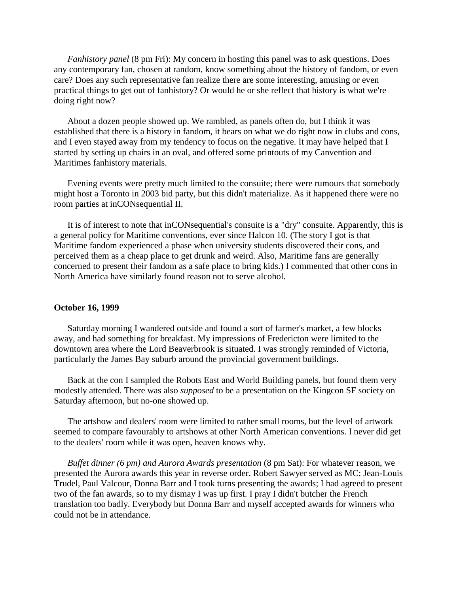*Fanhistory panel* (8 pm Fri): My concern in hosting this panel was to ask questions. Does any contemporary fan, chosen at random, know something about the history of fandom, or even care? Does any such representative fan realize there are some interesting, amusing or even practical things to get out of fanhistory? Or would he or she reflect that history is what we're doing right now?

 About a dozen people showed up. We rambled, as panels often do, but I think it was established that there is a history in fandom, it bears on what we do right now in clubs and cons, and I even stayed away from my tendency to focus on the negative. It may have helped that I started by setting up chairs in an oval, and offered some printouts of my Canvention and Maritimes fanhistory materials.

 Evening events were pretty much limited to the consuite; there were rumours that somebody might host a Toronto in 2003 bid party, but this didn't materialize. As it happened there were no room parties at inCONsequential II.

 It is of interest to note that inCONsequential's consuite is a "dry" consuite. Apparently, this is a general policy for Maritime conventions, ever since Halcon 10. (The story I got is that Maritime fandom experienced a phase when university students discovered their cons, and perceived them as a cheap place to get drunk and weird. Also, Maritime fans are generally concerned to present their fandom as a safe place to bring kids.) I commented that other cons in North America have similarly found reason not to serve alcohol.

#### **October 16, 1999**

Saturday morning I wandered outside and found a sort of farmer's market, a few blocks away, and had something for breakfast. My impressions of Fredericton were limited to the downtown area where the Lord Beaverbrook is situated. I was strongly reminded of Victoria, particularly the James Bay suburb around the provincial government buildings.

 Back at the con I sampled the Robots East and World Building panels, but found them very modestly attended. There was also *supposed* to be a presentation on the Kingcon SF society on Saturday afternoon, but no-one showed up.

 The artshow and dealers' room were limited to rather small rooms, but the level of artwork seemed to compare favourably to artshows at other North American conventions. I never did get to the dealers' room while it was open, heaven knows why.

 *Buffet dinner (6 pm) and Aurora Awards presentation* (8 pm Sat): For whatever reason, we presented the Aurora awards this year in reverse order. Robert Sawyer served as MC; Jean-Louis Trudel, Paul Valcour, Donna Barr and I took turns presenting the awards; I had agreed to present two of the fan awards, so to my dismay I was up first. I pray I didn't butcher the French translation too badly. Everybody but Donna Barr and myself accepted awards for winners who could not be in attendance.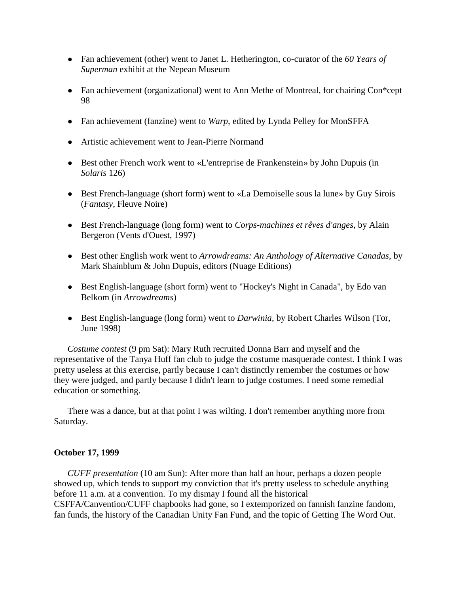- Fan achievement (other) went to Janet L. Hetherington, co-curator of the *60 Years of Superman* exhibit at the Nepean Museum
- Fan achievement (organizational) went to Ann Methe of Montreal, for chairing Con\*cept 98
- Fan achievement (fanzine) went to *Warp*, edited by Lynda Pelley for MonSFFA
- Artistic achievement went to Jean-Pierre Normand
- Best other French work went to «L'entreprise de Frankenstein» by John Dupuis (in *Solaris* 126)
- Best French-language (short form) went to «La Demoiselle sous la lune» by Guy Sirois (*Fantasy*, Fleuve Noire)
- Best French-language (long form) went to *Corps-machines et rêves d'anges*, by Alain Bergeron (Vents d'Ouest, 1997)
- Best other English work went to *Arrowdreams: An Anthology of Alternative Canadas*, by Mark Shainblum & John Dupuis, editors (Nuage Editions)
- Best English-language (short form) went to "Hockey's Night in Canada", by Edo van Belkom (in *Arrowdreams*)
- Best English-language (long form) went to *Darwinia*, by Robert Charles Wilson (Tor, June 1998)

 *Costume contest* (9 pm Sat): Mary Ruth recruited Donna Barr and myself and the representative of the Tanya Huff fan club to judge the costume masquerade contest. I think I was pretty useless at this exercise, partly because I can't distinctly remember the costumes or how they were judged, and partly because I didn't learn to judge costumes. I need some remedial education or something.

 There was a dance, but at that point I was wilting. I don't remember anything more from Saturday.

## **October 17, 1999**

*CUFF presentation* (10 am Sun): After more than half an hour, perhaps a dozen people showed up, which tends to support my conviction that it's pretty useless to schedule anything before 11 a.m. at a convention. To my dismay I found all the historical CSFFA/Canvention/CUFF chapbooks had gone, so I extemporized on fannish fanzine fandom, fan funds, the history of the Canadian Unity Fan Fund, and the topic of Getting The Word Out.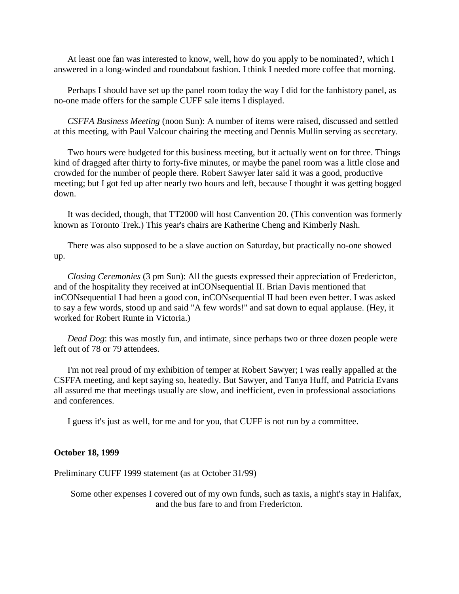At least one fan was interested to know, well, how do you apply to be nominated?, which I answered in a long-winded and roundabout fashion. I think I needed more coffee that morning.

Perhaps I should have set up the panel room today the way I did for the fanhistory panel, as no-one made offers for the sample CUFF sale items I displayed.

 *CSFFA Business Meeting* (noon Sun): A number of items were raised, discussed and settled at this meeting, with Paul Valcour chairing the meeting and Dennis Mullin serving as secretary.

 Two hours were budgeted for this business meeting, but it actually went on for three. Things kind of dragged after thirty to forty-five minutes, or maybe the panel room was a little close and crowded for the number of people there. Robert Sawyer later said it was a good, productive meeting; but I got fed up after nearly two hours and left, because I thought it was getting bogged down.

 It was decided, though, that TT2000 will host Canvention 20. (This convention was formerly known as Toronto Trek.) This year's chairs are Katherine Cheng and Kimberly Nash.

 There was also supposed to be a slave auction on Saturday, but practically no-one showed up.

 *Closing Ceremonies* (3 pm Sun): All the guests expressed their appreciation of Fredericton, and of the hospitality they received at inCONsequential II. Brian Davis mentioned that inCONsequential I had been a good con, inCONsequential II had been even better. I was asked to say a few words, stood up and said "A few words!" and sat down to equal applause. (Hey, it worked for Robert Runte in Victoria.)

*Dead Dog*: this was mostly fun, and intimate, since perhaps two or three dozen people were left out of 78 or 79 attendees.

 I'm not real proud of my exhibition of temper at Robert Sawyer; I was really appalled at the CSFFA meeting, and kept saying so, heatedly. But Sawyer, and Tanya Huff, and Patricia Evans all assured me that meetings usually are slow, and inefficient, even in professional associations and conferences.

I guess it's just as well, for me and for you, that CUFF is not run by a committee.

#### **October 18, 1999**

Preliminary CUFF 1999 statement (as at October 31/99)

 Some other expenses I covered out of my own funds, such as taxis, a night's stay in Halifax, and the bus fare to and from Fredericton.